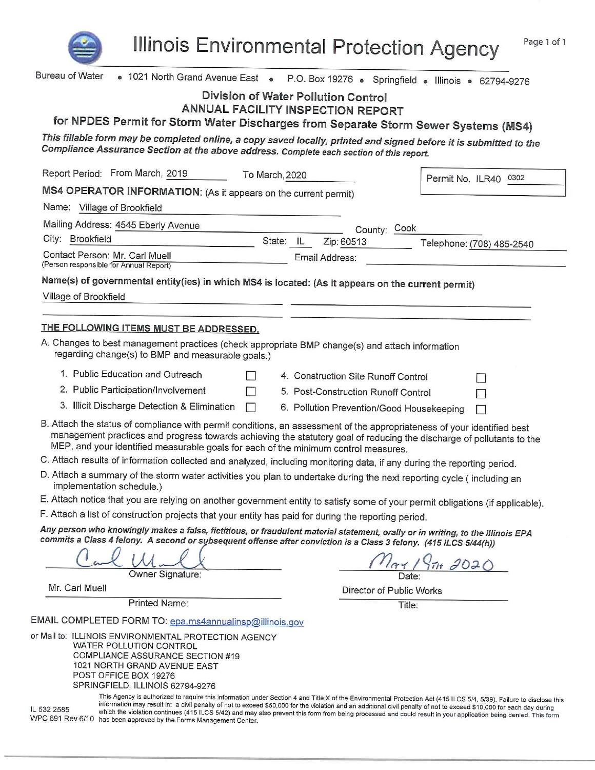

**Illinois Environmental Protection Agency** 

| Bureau of Water                                                                                                                                                                                                                                                                                                                           | • 1021 North Grand Avenue East . P.O. Box 19276 . Springfield . Illinois . 62794-9276                                                                                                                                                                                                                                                        |  |  |  |
|-------------------------------------------------------------------------------------------------------------------------------------------------------------------------------------------------------------------------------------------------------------------------------------------------------------------------------------------|----------------------------------------------------------------------------------------------------------------------------------------------------------------------------------------------------------------------------------------------------------------------------------------------------------------------------------------------|--|--|--|
| Division of Water Pollution Control                                                                                                                                                                                                                                                                                                       |                                                                                                                                                                                                                                                                                                                                              |  |  |  |
| <b>ANNUAL FACILITY INSPECTION REPORT</b>                                                                                                                                                                                                                                                                                                  |                                                                                                                                                                                                                                                                                                                                              |  |  |  |
| for NPDES Permit for Storm Water Discharges from Separate Storm Sewer Systems (MS4)                                                                                                                                                                                                                                                       |                                                                                                                                                                                                                                                                                                                                              |  |  |  |
| This fillable form may be completed online, a copy saved locally, printed and signed before it is submitted to the<br>Compliance Assurance Section at the above address. Complete each section of this report.                                                                                                                            |                                                                                                                                                                                                                                                                                                                                              |  |  |  |
| Report Period: From March, 2019<br>To March, 2020                                                                                                                                                                                                                                                                                         | Permit No. ILR40 0302                                                                                                                                                                                                                                                                                                                        |  |  |  |
| MS4 OPERATOR INFORMATION: (As it appears on the current permit)                                                                                                                                                                                                                                                                           |                                                                                                                                                                                                                                                                                                                                              |  |  |  |
| Name: Village of Brookfield                                                                                                                                                                                                                                                                                                               |                                                                                                                                                                                                                                                                                                                                              |  |  |  |
| Mailing Address: 4545 Eberly Avenue                                                                                                                                                                                                                                                                                                       | County: Cook                                                                                                                                                                                                                                                                                                                                 |  |  |  |
| City: Brookfield<br>State: IL                                                                                                                                                                                                                                                                                                             | Zip: 60513<br>Telephone: (708) 485-2540                                                                                                                                                                                                                                                                                                      |  |  |  |
| Contact Person: Mr. Carl Muell<br>(Person responsible for Annual Report)                                                                                                                                                                                                                                                                  | Email Address:                                                                                                                                                                                                                                                                                                                               |  |  |  |
| Name(s) of governmental entity(ies) in which MS4 is located: (As it appears on the current permit)                                                                                                                                                                                                                                        |                                                                                                                                                                                                                                                                                                                                              |  |  |  |
| Village of Brookfield                                                                                                                                                                                                                                                                                                                     |                                                                                                                                                                                                                                                                                                                                              |  |  |  |
|                                                                                                                                                                                                                                                                                                                                           |                                                                                                                                                                                                                                                                                                                                              |  |  |  |
| THE FOLLOWING ITEMS MUST BE ADDRESSED.                                                                                                                                                                                                                                                                                                    |                                                                                                                                                                                                                                                                                                                                              |  |  |  |
| A. Changes to best management practices (check appropriate BMP change(s) and attach information<br>regarding change(s) to BMP and measurable goals.)                                                                                                                                                                                      |                                                                                                                                                                                                                                                                                                                                              |  |  |  |
| 1. Public Education and Outreach                                                                                                                                                                                                                                                                                                          | 4. Construction Site Runoff Control                                                                                                                                                                                                                                                                                                          |  |  |  |
| 2. Public Participation/Involvement                                                                                                                                                                                                                                                                                                       | 5. Post-Construction Runoff Control                                                                                                                                                                                                                                                                                                          |  |  |  |
| 3. Illicit Discharge Detection & Elimination<br>$\mathbf{I}$                                                                                                                                                                                                                                                                              | 6. Pollution Prevention/Good Housekeeping<br>L                                                                                                                                                                                                                                                                                               |  |  |  |
| B. Attach the status of compliance with permit conditions, an assessment of the appropriateness of your identified best<br>MEP, and your identified measurable goals for each of the minimum control measures.<br>C. Attach results of information collected and analyzed, including monitoring data, if any during the reporting period. | management practices and progress towards achieving the statutory goal of reducing the discharge of pollutants to the                                                                                                                                                                                                                        |  |  |  |
| D. Attach a summary of the storm water activities you plan to undertake during the next reporting cycle (including an<br>implementation schedule.)                                                                                                                                                                                        |                                                                                                                                                                                                                                                                                                                                              |  |  |  |
| E. Attach notice that you are relying on another government entity to satisfy some of your permit obligations (if applicable).                                                                                                                                                                                                            |                                                                                                                                                                                                                                                                                                                                              |  |  |  |
| F. Attach a list of construction projects that your entity has paid for during the reporting period.                                                                                                                                                                                                                                      |                                                                                                                                                                                                                                                                                                                                              |  |  |  |
| Any person who knowingly makes a false, fictitious, or fraudulent material statement, orally or in writing, to the Illinois EPA<br>commits a Class 4 felony. A second or subsequent offense after conviction is a Class 3 felony. (415 ILCS 5/44(h))                                                                                      |                                                                                                                                                                                                                                                                                                                                              |  |  |  |
|                                                                                                                                                                                                                                                                                                                                           |                                                                                                                                                                                                                                                                                                                                              |  |  |  |
| Owner Signature:<br>Mr. Carl Muell                                                                                                                                                                                                                                                                                                        | Date:                                                                                                                                                                                                                                                                                                                                        |  |  |  |
| Printed Name:                                                                                                                                                                                                                                                                                                                             | Director of Public Works<br>Title:                                                                                                                                                                                                                                                                                                           |  |  |  |
| EMAIL COMPLETED FORM TO: epa.ms4annualinsp@illinois.gov                                                                                                                                                                                                                                                                                   |                                                                                                                                                                                                                                                                                                                                              |  |  |  |
| or Mail to: ILLINOIS ENVIRONMENTAL PROTECTION AGENCY                                                                                                                                                                                                                                                                                      |                                                                                                                                                                                                                                                                                                                                              |  |  |  |
| WATER POLLUTION CONTROL<br>COMPLIANCE ASSURANCE SECTION #19<br>1021 NORTH GRAND AVENUE EAST<br>POST OFFICE BOX 19276<br>SPRINGFIELD, ILLINOIS 62794-9276                                                                                                                                                                                  |                                                                                                                                                                                                                                                                                                                                              |  |  |  |
| IL 532 2585                                                                                                                                                                                                                                                                                                                               | This Agency is authorized to require this information under Section 4 and Title X of the Environmental Protection Act (415 ILCS 5/4, 5/39). Failure to disclose this<br>information may result in: a civil penalty of not to exceed \$50,000 for the violation and an additional civil penalty of not to exceed \$10,000 for each day during |  |  |  |

IL.

IL 532 2585 which the violation continues (415 ILCS 5/42) and may also prevent this form from being processed and could result in your application being denied. This form<br>WPC 691 Rev 6/10 has been approved by the Forms Man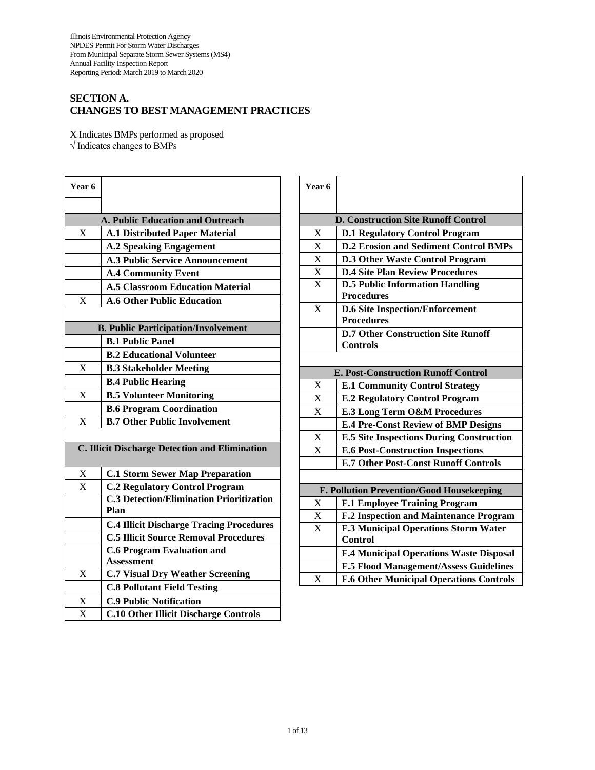# **SECTION A. CHANGES TO BEST MANAGEMENT PRACTICES**

X Indicates BMPs performed as proposed √ Indicates changes to BMPs

| Year 6                                                |                                                        |  |  |  |  |
|-------------------------------------------------------|--------------------------------------------------------|--|--|--|--|
|                                                       |                                                        |  |  |  |  |
|                                                       | A. Public Education and Outreach                       |  |  |  |  |
| X                                                     | <b>A.1 Distributed Paper Material</b>                  |  |  |  |  |
|                                                       | <b>A.2 Speaking Engagement</b>                         |  |  |  |  |
|                                                       | <b>A.3 Public Service Announcement</b>                 |  |  |  |  |
|                                                       | <b>A.4 Community Event</b>                             |  |  |  |  |
|                                                       | <b>A.5 Classroom Education Material</b>                |  |  |  |  |
| X                                                     | <b>A.6 Other Public Education</b>                      |  |  |  |  |
|                                                       |                                                        |  |  |  |  |
| <b>B. Public Participation/Involvement</b>            |                                                        |  |  |  |  |
|                                                       | <b>B.1 Public Panel</b>                                |  |  |  |  |
|                                                       | <b>B.2 Educational Volunteer</b>                       |  |  |  |  |
| $\mathbf X$                                           | <b>B.3 Stakeholder Meeting</b>                         |  |  |  |  |
|                                                       | <b>B.4 Public Hearing</b>                              |  |  |  |  |
| X                                                     | <b>B.5 Volunteer Monitoring</b>                        |  |  |  |  |
|                                                       | <b>B.6 Program Coordination</b>                        |  |  |  |  |
| X                                                     | <b>B.7 Other Public Involvement</b>                    |  |  |  |  |
|                                                       |                                                        |  |  |  |  |
| <b>C. Illicit Discharge Detection and Elimination</b> |                                                        |  |  |  |  |
| X                                                     | <b>C.1 Storm Sewer Map Preparation</b>                 |  |  |  |  |
| X                                                     | <b>C.2 Regulatory Control Program</b>                  |  |  |  |  |
|                                                       | <b>C.3 Detection/Elimination Prioritization</b>        |  |  |  |  |
|                                                       | Plan                                                   |  |  |  |  |
|                                                       | <b>C.4 Illicit Discharge Tracing Procedures</b>        |  |  |  |  |
|                                                       | <b>C.5 Illicit Source Removal Procedures</b>           |  |  |  |  |
|                                                       | <b>C.6 Program Evaluation and</b><br><b>Assessment</b> |  |  |  |  |
| X                                                     | <b>C.7 Visual Dry Weather Screening</b>                |  |  |  |  |
|                                                       | <b>C.8 Pollutant Field Testing</b>                     |  |  |  |  |
| $\mathbf X$                                           | <b>C.9 Public Notification</b>                         |  |  |  |  |
| $\bar{X}$                                             | <b>C.10 Other Illicit Discharge Controls</b>           |  |  |  |  |

| Year 6                                     |                                                 |  |  |  |  |
|--------------------------------------------|-------------------------------------------------|--|--|--|--|
|                                            |                                                 |  |  |  |  |
| <b>D. Construction Site Runoff Control</b> |                                                 |  |  |  |  |
| X                                          | <b>D.1 Regulatory Control Program</b>           |  |  |  |  |
| X                                          | <b>D.2 Erosion and Sediment Control BMPs</b>    |  |  |  |  |
| $\overline{X}$                             | <b>D.3 Other Waste Control Program</b>          |  |  |  |  |
| $\overline{X}$                             | <b>D.4 Site Plan Review Procedures</b>          |  |  |  |  |
| $\overline{\mathbf{X}}$                    | <b>D.5 Public Information Handling</b>          |  |  |  |  |
|                                            | <b>Procedures</b>                               |  |  |  |  |
| X                                          | <b>D.6 Site Inspection/Enforcement</b>          |  |  |  |  |
|                                            | <b>Procedures</b>                               |  |  |  |  |
|                                            | <b>D.7 Other Construction Site Runoff</b>       |  |  |  |  |
|                                            | <b>Controls</b>                                 |  |  |  |  |
|                                            |                                                 |  |  |  |  |
|                                            | <b>E. Post-Construction Runoff Control</b>      |  |  |  |  |
| X                                          | <b>E.1 Community Control Strategy</b>           |  |  |  |  |
| $\mathbf X$                                | <b>E.2 Regulatory Control Program</b>           |  |  |  |  |
| X                                          | E.3 Long Term O&M Procedures                    |  |  |  |  |
|                                            | <b>E.4 Pre-Const Review of BMP Designs</b>      |  |  |  |  |
| X                                          | <b>E.5 Site Inspections During Construction</b> |  |  |  |  |
| $\overline{X}$                             | <b>E.6 Post-Construction Inspections</b>        |  |  |  |  |
|                                            | <b>E.7 Other Post-Const Runoff Controls</b>     |  |  |  |  |
|                                            |                                                 |  |  |  |  |
| F. Pollution Prevention/Good Housekeeping  |                                                 |  |  |  |  |
| X                                          | <b>F.1 Employee Training Program</b>            |  |  |  |  |
| $\frac{X}{X}$                              | <b>F.2 Inspection and Maintenance Program</b>   |  |  |  |  |
|                                            | F.3 Municipal Operations Storm Water            |  |  |  |  |
|                                            | <b>Control</b>                                  |  |  |  |  |
|                                            | <b>F.4 Municipal Operations Waste Disposal</b>  |  |  |  |  |
|                                            | <b>F.5 Flood Management/Assess Guidelines</b>   |  |  |  |  |
| X                                          | <b>F.6 Other Municipal Operations Controls</b>  |  |  |  |  |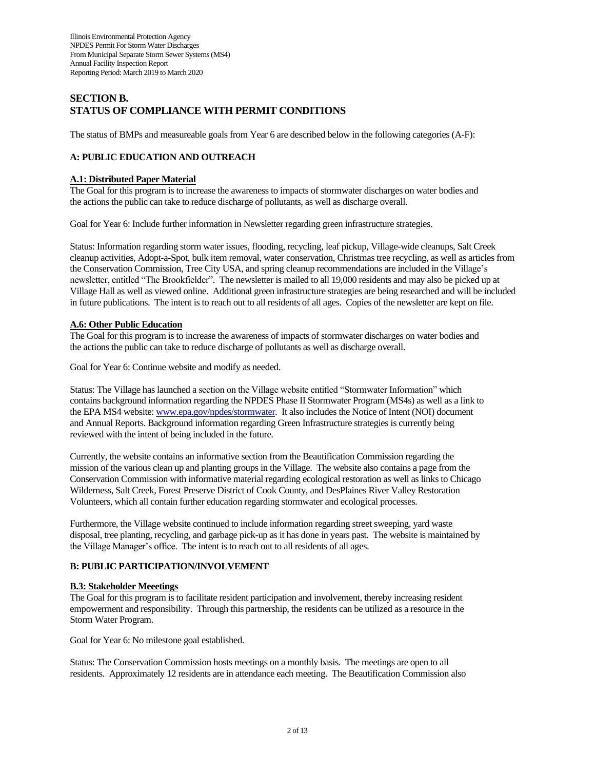# **SECTION B. STATUS OF COMPLIANCE WITH PERMIT CONDITIONS**

The status of BMPs and measureable goals from Year 6 are described below in the following categories (A-F):

# **A: PUBLIC EDUCATION AND OUTREACH**

# **A.1: Distributed Paper Material**

The Goal for this program is to increase the awareness to impacts of stormwater discharges on water bodies and the actions the public can take to reduce discharge of pollutants, as well as discharge overall.

Goal for Year 6: Include further information in Newsletter regarding green infrastructure strategies.

Status: Information regarding storm water issues, flooding, recycling, leaf pickup, Village-wide cleanups, Salt Creek cleanup activities, Adopt-a-Spot, bulk item removal, water conservation, Christmas tree recycling, as well as articles from the Conservation Commission, Tree City USA, and spring cleanup recommendations are included in the Village's newsletter, entitled "The Brookfielder". The newsletter is mailed to all 19,000 residents and may also be picked up at Village Hall as well as viewed online. Additional green infrastructure strategies are being researched and will be included in future publications. The intent is to reach out to all residents of all ages. Copies of the newsletter are kept on file.

## **A.6: Other Public Education**

The Goal for this program is to increase the awareness of impacts of stormwater discharges on water bodies and the actions the public can take to reduce discharge of pollutants as well as discharge overall.

Goal for Year 6: Continue website and modify as needed.

Status: The Village has launched a section on the Village website entitled "Stormwater Information" which contains background information regarding the NPDES Phase II Stormwater Program (MS4s) as well as a link to the EPA MS4 website[: www.epa.gov/npdes/stormwater.](http://www.epa.gov/npdes/stormwater) It also includes the Notice of Intent (NOI) document and Annual Reports. Background information regarding Green Infrastructure strategies is currently being reviewed with the intent of being included in the future.

Currently, the website contains an informative section from the Beautification Commission regarding the mission of the various clean up and planting groups in the Village. The website also contains a page from the Conservation Commission with informative material regarding ecological restoration as well as links to Chicago Wilderness, Salt Creek, Forest Preserve District of Cook County, and DesPlaines River Valley Restoration Volunteers, which all contain further education regarding stormwater and ecological processes.

Furthermore, the Village website continued to include information regarding street sweeping, yard waste disposal, tree planting, recycling, and garbage pick-up as it has done in years past. The website is maintained by the Village Manager's office. The intent is to reach out to all residents of all ages.

# **B: PUBLIC PARTICIPATION/INVOLVEMENT**

#### **B.3: Stakeholder Meeetings**

The Goal for this program is to facilitate resident participation and involvement, thereby increasing resident empowerment and responsibility. Through this partnership, the residents can be utilized as a resource in the Storm Water Program.

Goal for Year 6: No milestone goal established.

Status: The Conservation Commission hosts meetings on a monthly basis. The meetings are open to all residents. Approximately 12 residents are in attendance each meeting. The Beautification Commission also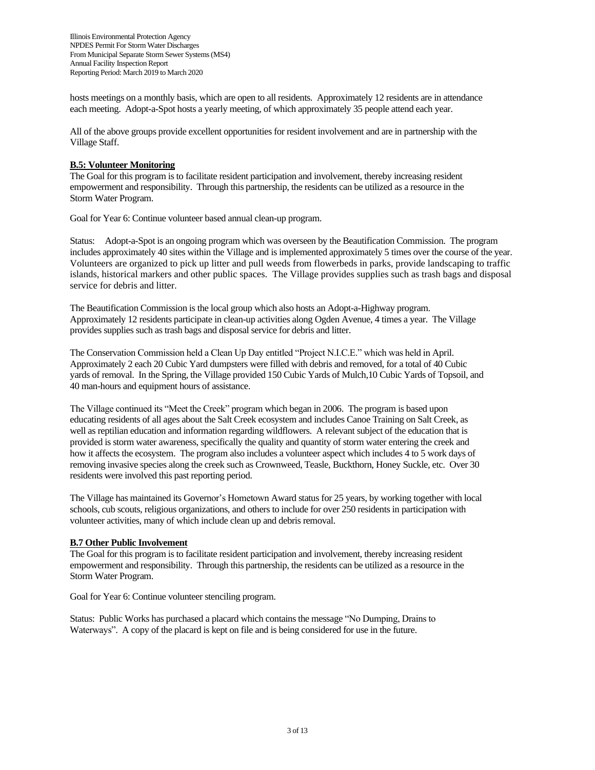hosts meetings on a monthly basis, which are open to all residents. Approximately 12 residents are in attendance each meeting. Adopt-a-Spot hosts a yearly meeting, of which approximately 35 people attend each year.

All of the above groups provide excellent opportunities for resident involvement and are in partnership with the Village Staff.

## **B.5: Volunteer Monitoring**

The Goal for this program is to facilitate resident participation and involvement, thereby increasing resident empowerment and responsibility. Through this partnership, the residents can be utilized as a resource in the Storm Water Program.

Goal for Year 6: Continue volunteer based annual clean-up program.

Status: Adopt-a-Spot is an ongoing program which was overseen by the Beautification Commission. The program includes approximately 40 sites within the Village and is implemented approximately 5 times over the course of the year. Volunteers are organized to pick up litter and pull weeds from flowerbeds in parks, provide landscaping to traffic islands, historical markers and other public spaces. The Village provides supplies such as trash bags and disposal service for debris and litter.

The Beautification Commission is the local group which also hosts an Adopt-a-Highway program. Approximately 12 residents participate in clean-up activities along Ogden Avenue, 4 times a year. The Village provides supplies such as trash bags and disposal service for debris and litter.

The Conservation Commission held a Clean Up Day entitled "Project N.I.C.E." which was held in April. Approximately 2 each 20 Cubic Yard dumpsters were filled with debris and removed, for a total of 40 Cubic yards of removal. In the Spring, the Village provided 150 Cubic Yards of Mulch,10 Cubic Yards of Topsoil, and 40 man-hours and equipment hours of assistance.

The Village continued its "Meet the Creek" program which began in 2006. The program is based upon educating residents of all ages about the Salt Creek ecosystem and includes Canoe Training on Salt Creek, as well as reptilian education and information regarding wildflowers. A relevant subject of the education that is provided is storm water awareness, specifically the quality and quantity of storm water entering the creek and how it affects the ecosystem. The program also includes a volunteer aspect which includes 4 to 5 work days of removing invasive species along the creek such as Crownweed, Teasle, Buckthorn, Honey Suckle, etc. Over 30 residents were involved this past reporting period.

The Village has maintained its Governor's Hometown Award status for 25 years, by working together with local schools, cub scouts, religious organizations, and others to include for over 250 residents in participation with volunteer activities, many of which include clean up and debris removal.

# **B.7 Other Public Involvement**

The Goal for this program is to facilitate resident participation and involvement, thereby increasing resident empowerment and responsibility. Through this partnership, the residents can be utilized as a resource in the Storm Water Program.

Goal for Year 6: Continue volunteer stenciling program.

Status: Public Works has purchased a placard which contains the message "No Dumping, Drains to Waterways". A copy of the placard is kept on file and is being considered for use in the future.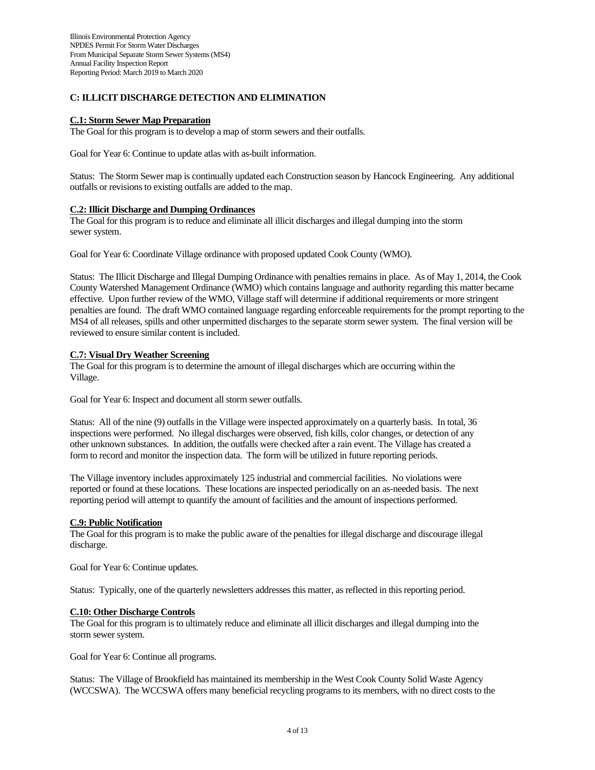## **C: ILLICIT DISCHARGE DETECTION AND ELIMINATION**

#### **C.1: Storm Sewer Map Preparation**

The Goal for this program is to develop a map of storm sewers and their outfalls.

Goal for Year 6: Continue to update atlas with as-built information.

Status: The Storm Sewer map is continually updated each Construction season by Hancock Engineering. Any additional outfalls or revisions to existing outfalls are added to the map.

#### **C.2: Illicit Discharge and Dumping Ordinances**

The Goal for this program is to reduce and eliminate all illicit discharges and illegal dumping into the storm sewer system.

Goal for Year 6: Coordinate Village ordinance with proposed updated Cook County (WMO).

Status: The Illicit Discharge and Illegal Dumping Ordinance with penalties remains in place. As of May 1, 2014, the Cook County Watershed Management Ordinance (WMO) which contains language and authority regarding this matter became effective. Upon further review of the WMO, Village staff will determine if additional requirements or more stringent penalties are found. The draft WMO contained language regarding enforceable requirements for the prompt reporting to the MS4 of all releases, spills and other unpermitted discharges to the separate storm sewer system. The final version will be reviewed to ensure similar content is included.

#### **C.7: Visual Dry Weather Screening**

The Goal for this program is to determine the amount of illegal discharges which are occurring within the Village.

Goal for Year 6: Inspect and document all storm sewer outfalls.

Status: All of the nine (9) outfalls in the Village were inspected approximately on a quarterly basis. In total, 36 inspections were performed. No illegal discharges were observed, fish kills, color changes, or detection of any other unknown substances. In addition, the outfalls were checked after a rain event. The Village has created a form to record and monitor the inspection data. The form will be utilized in future reporting periods.

The Village inventory includes approximately 125 industrial and commercial facilities. No violations were reported or found at these locations. These locations are inspected periodically on an as-needed basis. The next reporting period will attempt to quantify the amount of facilities and the amount of inspections performed.

#### **C.9: Public Notification**

The Goal for this program is to make the public aware of the penalties for illegal discharge and discourage illegal discharge.

Goal for Year 6: Continue updates.

Status: Typically, one of the quarterly newsletters addresses this matter, as reflected in this reporting period.

#### **C.10: Other Discharge Controls**

The Goal for this program is to ultimately reduce and eliminate all illicit discharges and illegal dumping into the storm sewer system.

Goal for Year 6: Continue all programs.

Status: The Village of Brookfield has maintained its membership in the West Cook County Solid Waste Agency (WCCSWA). The WCCSWA offers many beneficial recycling programs to its members, with no direct costs to the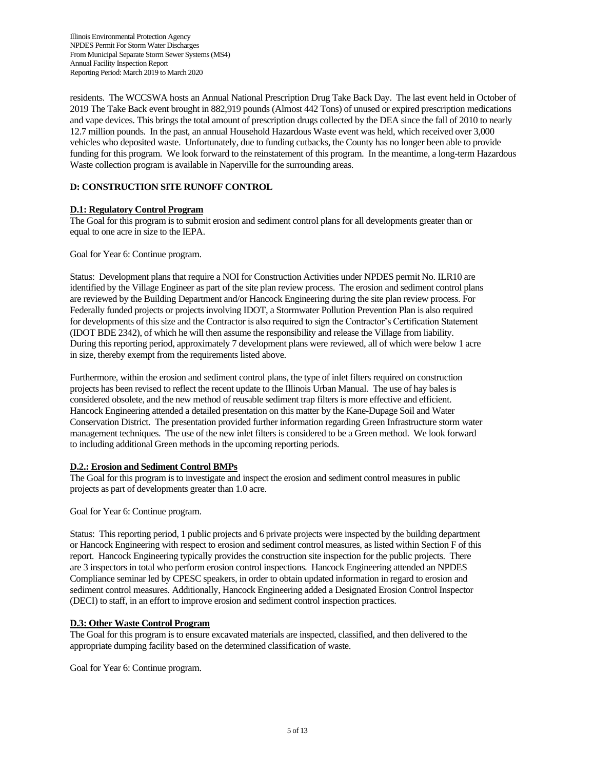residents. The WCCSWA hosts an Annual National Prescription Drug Take Back Day. The last event held in October of 2019 The Take Back event brought in 882,919 pounds (Almost 442 Tons) of unused or expired prescription medications and vape devices. This brings the total amount of prescription drugs collected by the DEA since the fall of 2010 to nearly 12.7 million pounds. In the past, an annual Household Hazardous Waste event was held, which received over 3,000 vehicles who deposited waste. Unfortunately, due to funding cutbacks, the County has no longer been able to provide funding for this program. We look forward to the reinstatement of this program. In the meantime, a long-term Hazardous Waste collection program is available in Naperville for the surrounding areas.

# **D: CONSTRUCTION SITE RUNOFF CONTROL**

## **D.1: Regulatory Control Program**

The Goal for this program is to submit erosion and sediment control plans for all developments greater than or equal to one acre in size to the IEPA.

Goal for Year 6: Continue program.

Status: Development plans that require a NOI for Construction Activities under NPDES permit No. ILR10 are identified by the Village Engineer as part of the site plan review process. The erosion and sediment control plans are reviewed by the Building Department and/or Hancock Engineering during the site plan review process. For Federally funded projects or projects involving IDOT, a Stormwater Pollution Prevention Plan is also required for developments of this size and the Contractor is also required to sign the Contractor's Certification Statement (IDOT BDE 2342), of which he will then assume the responsibility and release the Village from liability. During this reporting period, approximately 7 development plans were reviewed, all of which were below 1 acre in size, thereby exempt from the requirements listed above.

Furthermore, within the erosion and sediment control plans, the type of inlet filters required on construction projects has been revised to reflect the recent update to the Illinois Urban Manual. The use of hay bales is considered obsolete, and the new method of reusable sediment trap filters is more effective and efficient. Hancock Engineering attended a detailed presentation on this matter by the Kane-Dupage Soil and Water Conservation District. The presentation provided further information regarding Green Infrastructure storm water management techniques. The use of the new inlet filters is considered to be a Green method. We look forward to including additional Green methods in the upcoming reporting periods.

#### **D.2.: Erosion and Sediment Control BMPs**

The Goal for this program is to investigate and inspect the erosion and sediment control measures in public projects as part of developments greater than 1.0 acre.

Goal for Year 6: Continue program.

Status: This reporting period, 1 public projects and 6 private projects were inspected by the building department or Hancock Engineering with respect to erosion and sediment control measures, as listed within Section F of this report. Hancock Engineering typically provides the construction site inspection for the public projects. There are 3 inspectors in total who perform erosion control inspections. Hancock Engineering attended an NPDES Compliance seminar led by CPESC speakers, in order to obtain updated information in regard to erosion and sediment control measures. Additionally, Hancock Engineering added a Designated Erosion Control Inspector (DECI) to staff, in an effort to improve erosion and sediment control inspection practices.

# **D.3: Other Waste Control Program**

The Goal for this program is to ensure excavated materials are inspected, classified, and then delivered to the appropriate dumping facility based on the determined classification of waste.

Goal for Year 6: Continue program.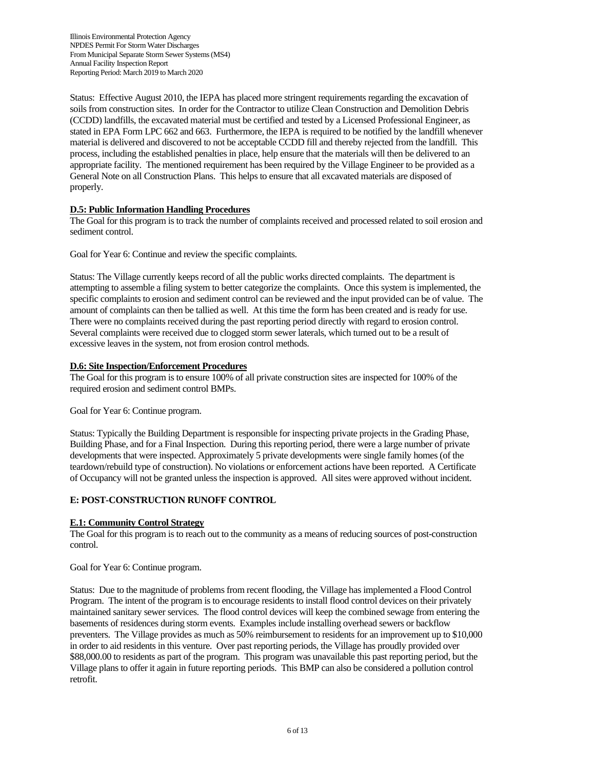Status: Effective August 2010, the IEPA has placed more stringent requirements regarding the excavation of soils from construction sites. In order for the Contractor to utilize Clean Construction and Demolition Debris (CCDD) landfills, the excavated material must be certified and tested by a Licensed Professional Engineer, as stated in EPA Form LPC 662 and 663. Furthermore, the IEPA is required to be notified by the landfill whenever material is delivered and discovered to not be acceptable CCDD fill and thereby rejected from the landfill. This process, including the established penalties in place, help ensure that the materials will then be delivered to an appropriate facility. The mentioned requirement has been required by the Village Engineer to be provided as a General Note on all Construction Plans. This helps to ensure that all excavated materials are disposed of properly.

# **D.5: Public Information Handling Procedures**

The Goal for this program is to track the number of complaints received and processed related to soil erosion and sediment control.

Goal for Year 6: Continue and review the specific complaints.

Status: The Village currently keeps record of all the public works directed complaints. The department is attempting to assemble a filing system to better categorize the complaints. Once this system is implemented, the specific complaints to erosion and sediment control can be reviewed and the input provided can be of value. The amount of complaints can then be tallied as well. At this time the form has been created and is ready for use. There were no complaints received during the past reporting period directly with regard to erosion control. Several complaints were received due to clogged storm sewer laterals, which turned out to be a result of excessive leaves in the system, not from erosion control methods.

## **D.6: Site Inspection/Enforcement Procedures**

The Goal for this program is to ensure 100% of all private construction sites are inspected for 100% of the required erosion and sediment control BMPs.

Goal for Year 6: Continue program.

Status: Typically the Building Department is responsible for inspecting private projects in the Grading Phase, Building Phase, and for a Final Inspection. During this reporting period, there were a large number of private developments that were inspected. Approximately 5 private developments were single family homes (of the teardown/rebuild type of construction). No violations or enforcement actions have been reported. A Certificate of Occupancy will not be granted unless the inspection is approved. All sites were approved without incident.

# **E: POST-CONSTRUCTION RUNOFF CONTROL**

#### **E.1: Community Control Strategy**

The Goal for this program is to reach out to the community as a means of reducing sources of post-construction control.

Goal for Year 6: Continue program.

Status: Due to the magnitude of problems from recent flooding, the Village has implemented a Flood Control Program. The intent of the program is to encourage residents to install flood control devices on their privately maintained sanitary sewer services. The flood control devices will keep the combined sewage from entering the basements of residences during storm events. Examples include installing overhead sewers or backflow preventers. The Village provides as much as 50% reimbursement to residents for an improvement up to \$10,000 in order to aid residents in this venture. Over past reporting periods, the Village has proudly provided over \$88,000.00 to residents as part of the program. This program was unavailable this past reporting period, but the Village plans to offer it again in future reporting periods. This BMP can also be considered a pollution control retrofit.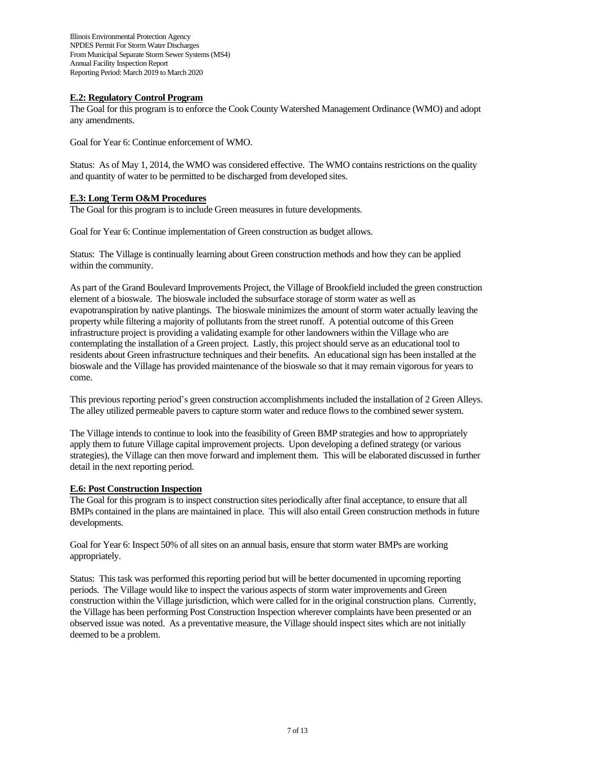## **E.2: Regulatory Control Program**

The Goal for this program is to enforce the Cook County Watershed Management Ordinance (WMO) and adopt any amendments.

Goal for Year 6: Continue enforcement of WMO.

Status: As of May 1, 2014, the WMO was considered effective. The WMO contains restrictions on the quality and quantity of water to be permitted to be discharged from developed sites.

## **E.3: Long Term O&M Procedures**

The Goal for this program is to include Green measures in future developments.

Goal for Year 6: Continue implementation of Green construction as budget allows.

Status: The Village is continually learning about Green construction methods and how they can be applied within the community.

As part of the Grand Boulevard Improvements Project, the Village of Brookfield included the green construction element of a bioswale. The bioswale included the subsurface storage of storm water as well as evapotranspiration by native plantings. The bioswale minimizes the amount of storm water actually leaving the property while filtering a majority of pollutants from the street runoff. A potential outcome of this Green infrastructure project is providing a validating example for other landowners within the Village who are contemplating the installation of a Green project. Lastly, this project should serve as an educational tool to residents about Green infrastructure techniques and their benefits. An educational sign has been installed at the bioswale and the Village has provided maintenance of the bioswale so that it may remain vigorous for years to come.

This previous reporting period's green construction accomplishments included the installation of 2 Green Alleys. The alley utilized permeable pavers to capture storm water and reduce flows to the combined sewer system.

The Village intends to continue to look into the feasibility of Green BMP strategies and how to appropriately apply them to future Village capital improvement projects. Upon developing a defined strategy (or various strategies), the Village can then move forward and implement them. This will be elaborated discussed in further detail in the next reporting period.

# **E.6: Post Construction Inspection**

The Goal for this program is to inspect construction sites periodically after final acceptance, to ensure that all BMPs contained in the plans are maintained in place. This will also entail Green construction methods in future developments.

Goal for Year 6: Inspect 50% of all sites on an annual basis, ensure that storm water BMPs are working appropriately.

Status: This task was performed this reporting period but will be better documented in upcoming reporting periods. The Village would like to inspect the various aspects of storm water improvements and Green construction within the Village jurisdiction, which were called for in the original construction plans. Currently, the Village has been performing Post Construction Inspection wherever complaints have been presented or an observed issue was noted. As a preventative measure, the Village should inspect sites which are not initially deemed to be a problem.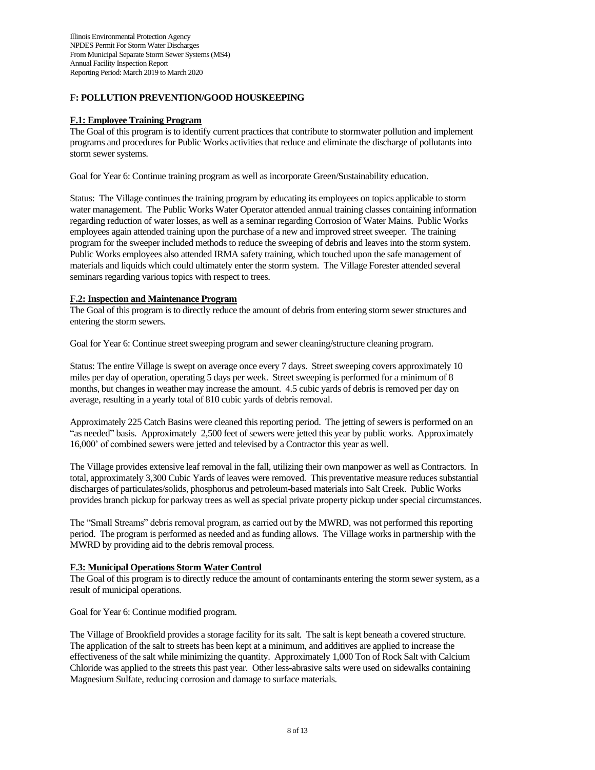## **F: POLLUTION PREVENTION/GOOD HOUSKEEPING**

## **F.1: Employee Training Program**

The Goal of this program is to identify current practices that contribute to stormwater pollution and implement programs and procedures for Public Works activities that reduce and eliminate the discharge of pollutants into storm sewer systems.

Goal for Year 6: Continue training program as well as incorporate Green/Sustainability education.

Status: The Village continues the training program by educating its employees on topics applicable to storm water management. The Public Works Water Operator attended annual training classes containing information regarding reduction of water losses, as well as a seminar regarding Corrosion of Water Mains. Public Works employees again attended training upon the purchase of a new and improved street sweeper. The training program for the sweeper included methods to reduce the sweeping of debris and leaves into the storm system. Public Works employees also attended IRMA safety training, which touched upon the safe management of materials and liquids which could ultimately enter the storm system. The Village Forester attended several seminars regarding various topics with respect to trees.

#### **F.2: Inspection and Maintenance Program**

The Goal of this program is to directly reduce the amount of debris from entering storm sewer structures and entering the storm sewers.

Goal for Year 6: Continue street sweeping program and sewer cleaning/structure cleaning program.

Status: The entire Village is swept on average once every 7 days. Street sweeping covers approximately 10 miles per day of operation, operating 5 days per week. Street sweeping is performed for a minimum of 8 months, but changes in weather may increase the amount. 4.5 cubic yards of debris is removed per day on average, resulting in a yearly total of 810 cubic yards of debris removal.

Approximately 225 Catch Basins were cleaned this reporting period. The jetting of sewers is performed on an "as needed" basis. Approximately 2,500 feet of sewers were jetted this year by public works. Approximately 16,000' of combined sewers were jetted and televised by a Contractor this year as well.

The Village provides extensive leaf removal in the fall, utilizing their own manpower as well as Contractors. In total, approximately 3,300 Cubic Yards of leaves were removed. This preventative measure reduces substantial discharges of particulates/solids, phosphorus and petroleum-based materials into Salt Creek. Public Works provides branch pickup for parkway trees as well as special private property pickup under special circumstances.

The "Small Streams" debris removal program, as carried out by the MWRD, was not performed this reporting period. The program is performed as needed and as funding allows. The Village works in partnership with the MWRD by providing aid to the debris removal process.

#### **F.3: Municipal Operations Storm Water Control**

The Goal of this program is to directly reduce the amount of contaminants entering the storm sewer system, as a result of municipal operations.

Goal for Year 6: Continue modified program.

The Village of Brookfield provides a storage facility for its salt. The salt is kept beneath a covered structure. The application of the salt to streets has been kept at a minimum, and additives are applied to increase the effectiveness of the salt while minimizing the quantity. Approximately 1,000 Ton of Rock Salt with Calcium Chloride was applied to the streets this past year. Other less-abrasive salts were used on sidewalks containing Magnesium Sulfate, reducing corrosion and damage to surface materials.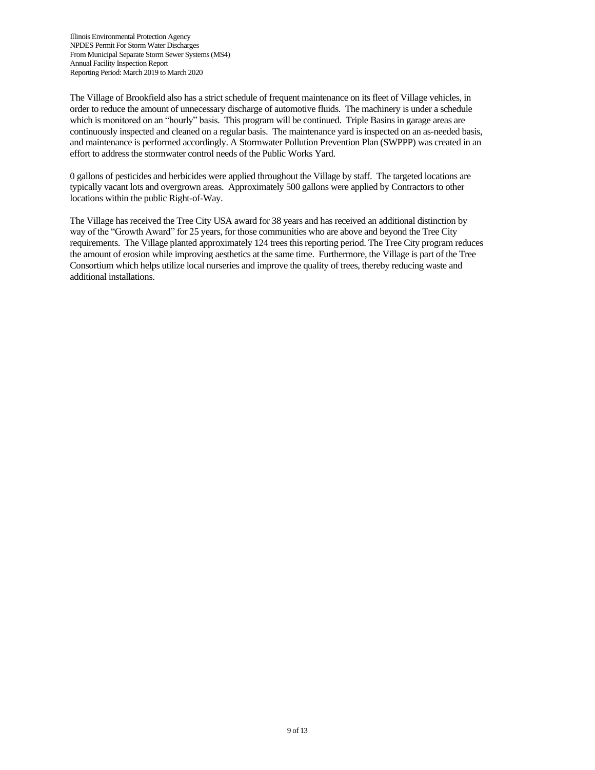The Village of Brookfield also has a strict schedule of frequent maintenance on its fleet of Village vehicles, in order to reduce the amount of unnecessary discharge of automotive fluids. The machinery is under a schedule which is monitored on an "hourly" basis. This program will be continued. Triple Basins in garage areas are continuously inspected and cleaned on a regular basis. The maintenance yard is inspected on an as-needed basis, and maintenance is performed accordingly. A Stormwater Pollution Prevention Plan (SWPPP) was created in an effort to address the stormwater control needs of the Public Works Yard.

0 gallons of pesticides and herbicides were applied throughout the Village by staff. The targeted locations are typically vacant lots and overgrown areas. Approximately 500 gallons were applied by Contractors to other locations within the public Right-of-Way.

The Village has received the Tree City USA award for 38 years and has received an additional distinction by way of the "Growth Award" for 25 years, for those communities who are above and beyond the Tree City requirements. The Village planted approximately 124 trees this reporting period. The Tree City program reduces the amount of erosion while improving aesthetics at the same time. Furthermore, the Village is part of the Tree Consortium which helps utilize local nurseries and improve the quality of trees, thereby reducing waste and additional installations.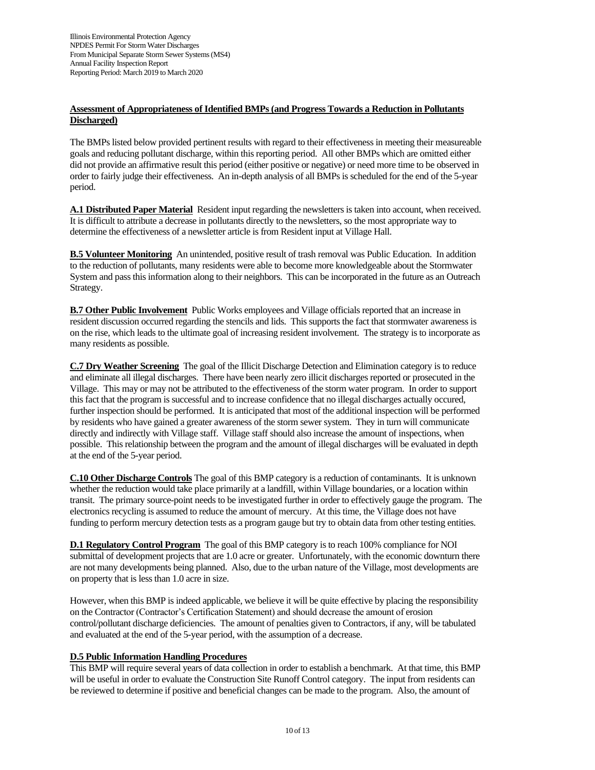# **Assessment of Appropriateness of Identified BMPs (and Progress Towards a Reduction in Pollutants Discharged)**

The BMPs listed below provided pertinent results with regard to their effectiveness in meeting their measureable goals and reducing pollutant discharge, within this reporting period. All other BMPs which are omitted either did not provide an affirmative result this period (either positive or negative) or need more time to be observed in order to fairly judge their effectiveness. An in-depth analysis of all BMPs is scheduled for the end of the 5-year period.

**A.1 Distributed Paper Material** Resident input regarding the newsletters is taken into account, when received. It is difficult to attribute a decrease in pollutants directly to the newsletters, so the most appropriate way to determine the effectiveness of a newsletter article is from Resident input at Village Hall.

**B.5 Volunteer Monitoring** An unintended, positive result of trash removal was Public Education. In addition to the reduction of pollutants, many residents were able to become more knowledgeable about the Stormwater System and pass this information along to their neighbors. This can be incorporated in the future as an Outreach Strategy.

**B.7 Other Public Involvement** Public Works employees and Village officials reported that an increase in resident discussion occurred regarding the stencils and lids. This supports the fact that stormwater awareness is on the rise, which leads to the ultimate goal of increasing resident involvement. The strategy is to incorporate as many residents as possible.

**C.7 Dry Weather Screening** The goal of the Illicit Discharge Detection and Elimination category is to reduce and eliminate all illegal discharges. There have been nearly zero illicit discharges reported or prosecuted in the Village. This may or may not be attributed to the effectiveness of the storm water program. In order to support this fact that the program is successful and to increase confidence that no illegal discharges actually occured, further inspection should be performed. It is anticipated that most of the additional inspection will be performed by residents who have gained a greater awareness of the storm sewer system. They in turn will communicate directly and indirectly with Village staff. Village staff should also increase the amount of inspections, when possible. This relationship between the program and the amount of illegal discharges will be evaluated in depth at the end of the 5-year period.

**C.10 Other Discharge Controls** The goal of this BMP category is a reduction of contaminants. It is unknown whether the reduction would take place primarily at a landfill, within Village boundaries, or a location within transit. The primary source-point needs to be investigated further in order to effectively gauge the program. The electronics recycling is assumed to reduce the amount of mercury. At this time, the Village does not have funding to perform mercury detection tests as a program gauge but try to obtain data from other testing entities.

**D.1 Regulatory Control Program** The goal of this BMP category is to reach 100% compliance for NOI submittal of development projects that are 1.0 acre or greater. Unfortunately, with the economic downturn there are not many developments being planned. Also, due to the urban nature of the Village, most developments are on property that is less than 1.0 acre in size.

However, when this BMP is indeed applicable, we believe it will be quite effective by placing the responsibility on the Contractor (Contractor's Certification Statement) and should decrease the amount of erosion control/pollutant discharge deficiencies. The amount of penalties given to Contractors, if any, will be tabulated and evaluated at the end of the 5-year period, with the assumption of a decrease.

# **D.5 Public Information Handling Procedures**

This BMP will require several years of data collection in order to establish a benchmark. At that time, this BMP will be useful in order to evaluate the Construction Site Runoff Control category. The input from residents can be reviewed to determine if positive and beneficial changes can be made to the program. Also, the amount of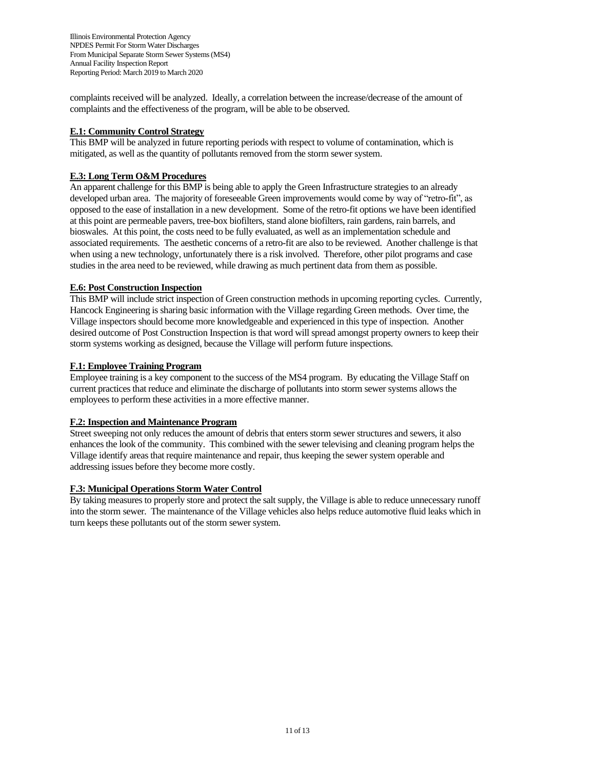complaints received will be analyzed. Ideally, a correlation between the increase/decrease of the amount of complaints and the effectiveness of the program, will be able to be observed.

# **E.1: Community Control Strategy**

This BMP will be analyzed in future reporting periods with respect to volume of contamination, which is mitigated, as well as the quantity of pollutants removed from the storm sewer system.

## **E.3: Long Term O&M Procedures**

An apparent challenge for this BMP is being able to apply the Green Infrastructure strategies to an already developed urban area. The majority of foreseeable Green improvements would come by way of "retro-fit", as opposed to the ease of installation in a new development. Some of the retro-fit options we have been identified at this point are permeable pavers, tree-box biofilters, stand alone biofilters, rain gardens, rain barrels, and bioswales. At this point, the costs need to be fully evaluated, as well as an implementation schedule and associated requirements. The aesthetic concerns of a retro-fit are also to be reviewed. Another challenge is that when using a new technology, unfortunately there is a risk involved. Therefore, other pilot programs and case studies in the area need to be reviewed, while drawing as much pertinent data from them as possible.

## **E.6: Post Construction Inspection**

This BMP will include strict inspection of Green construction methods in upcoming reporting cycles. Currently, Hancock Engineering is sharing basic information with the Village regarding Green methods. Over time, the Village inspectors should become more knowledgeable and experienced in this type of inspection. Another desired outcome of Post Construction Inspection is that word will spread amongst property owners to keep their storm systems working as designed, because the Village will perform future inspections.

## **F.1: Employee Training Program**

Employee training is a key component to the success of the MS4 program. By educating the Village Staff on current practices that reduce and eliminate the discharge of pollutants into storm sewer systems allows the employees to perform these activities in a more effective manner.

#### **F.2: Inspection and Maintenance Program**

Street sweeping not only reduces the amount of debris that enters storm sewer structures and sewers, it also enhances the look of the community. This combined with the sewer televising and cleaning program helps the Village identify areas that require maintenance and repair, thus keeping the sewer system operable and addressing issues before they become more costly.

#### **F.3: Municipal Operations Storm Water Control**

By taking measures to properly store and protect the salt supply, the Village is able to reduce unnecessary runoff into the storm sewer. The maintenance of the Village vehicles also helps reduce automotive fluid leaks which in turn keeps these pollutants out of the storm sewer system.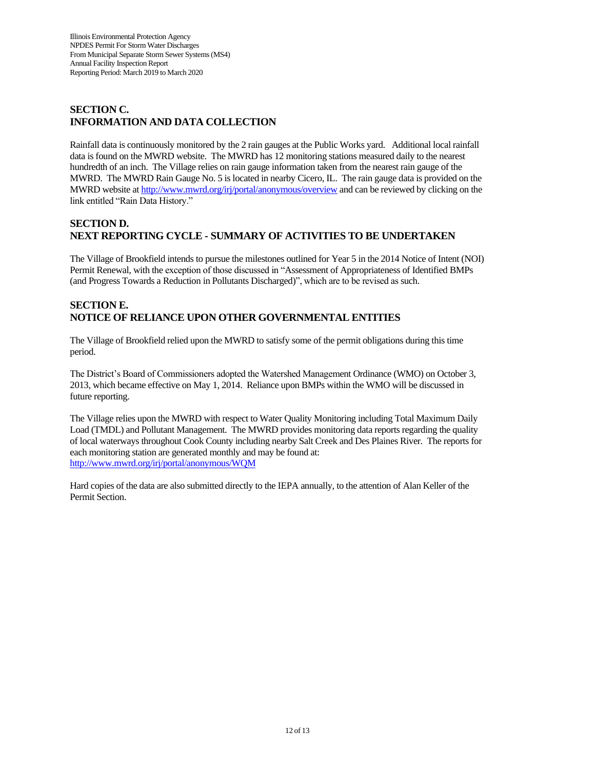# **SECTION C. INFORMATION AND DATA COLLECTION**

Rainfall data is continuously monitored by the 2 rain gauges at the Public Works yard. Additional local rainfall data is found on the MWRD website. The MWRD has 12 monitoring stations measured daily to the nearest hundredth of an inch. The Village relies on rain gauge information taken from the nearest rain gauge of the MWRD. The MWRD Rain Gauge No. 5 is located in nearby Cicero, IL. The rain gauge data is provided on the MWRD website a[t http://www.mwrd.org/irj/portal/anonymous/overview](http://www.mwrd.org/irj/portal/anonymous/overview) and can be reviewed by clicking on the link entitled "Rain Data History."

# **SECTION D. NEXT REPORTING CYCLE - SUMMARY OF ACTIVITIES TO BE UNDERTAKEN**

The Village of Brookfield intends to pursue the milestones outlined for Year 5 in the 2014 Notice of Intent (NOI) Permit Renewal, with the exception of those discussed in "Assessment of Appropriateness of Identified BMPs (and Progress Towards a Reduction in Pollutants Discharged)", which are to be revised as such.

# **SECTION E. NOTICE OF RELIANCE UPON OTHER GOVERNMENTAL ENTITIES**

The Village of Brookfield relied upon the MWRD to satisfy some of the permit obligations during this time period.

The District's Board of Commissioners adopted the Watershed Management Ordinance (WMO) on October 3, 2013, which became effective on May 1, 2014. Reliance upon BMPs within the WMO will be discussed in future reporting.

The Village relies upon the MWRD with respect to Water Quality Monitoring including Total Maximum Daily Load (TMDL) and Pollutant Management. The MWRD provides monitoring data reports regarding the quality of local waterways throughout Cook County including nearby Salt Creek and Des Plaines River. The reports for each monitoring station are generated monthly and may be found at: <http://www.mwrd.org/irj/portal/anonymous/WQM>

Hard copies of the data are also submitted directly to the IEPA annually, to the attention of Alan Keller of the Permit Section.